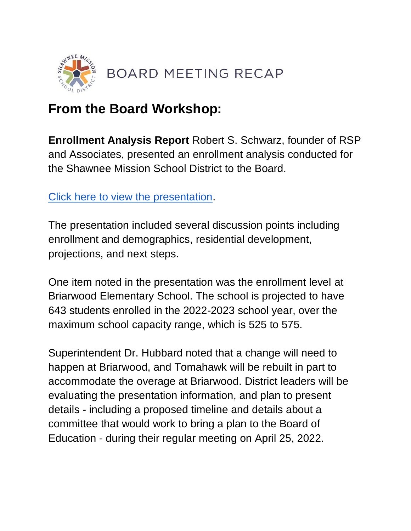

## **From the Board Workshop:**

**Enrollment Analysis Report** Robert S. Schwarz, founder of RSP and Associates, presented an enrollment analysis conducted for the Shawnee Mission School District to the Board.

[Click here to view the presentation.](https://go.boarddocs.com/ks/smsd/Board.nsf/files/CDATNW7836D5/$file/SMSD%20EA%202122_NF_040822.pdf)

The presentation included several discussion points including enrollment and demographics, residential development, projections, and next steps.

One item noted in the presentation was the enrollment level at Briarwood Elementary School. The school is projected to have 643 students enrolled in the 2022-2023 school year, over the maximum school capacity range, which is 525 to 575.

Superintendent Dr. Hubbard noted that a change will need to happen at Briarwood, and Tomahawk will be rebuilt in part to accommodate the overage at Briarwood. District leaders will be evaluating the presentation information, and plan to present details - including a proposed timeline and details about a committee that would work to bring a plan to the Board of Education - during their regular meeting on April 25, 2022.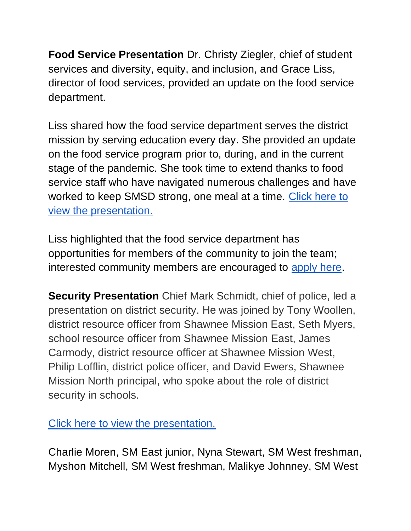**Food Service Presentation** Dr. Christy Ziegler, chief of student services and diversity, equity, and inclusion, and Grace Liss, director of food services, provided an update on the food service department.

Liss shared how the food service department serves the district mission by serving education every day. She provided an update on the food service program prior to, during, and in the current stage of the pandemic. She took time to extend thanks to food service staff who have navigated numerous challenges and have worked to keep SMSD strong, one meal at a time. [Click here to](http://go.boarddocs.com/ks/smsd/Board.nsf/goto?open&id=CCYQJM698E52)  [view the presentation.](http://go.boarddocs.com/ks/smsd/Board.nsf/goto?open&id=CCYQJM698E52) 

Liss highlighted that the food service department has opportunities for members of the community to join the team; interested community members are encouraged to [apply here.](https://www.applitrack.com/smsd/OnlineApp/default.aspx)

**Security Presentation** Chief Mark Schmidt, chief of police, led a presentation on district security. He was joined by Tony Woollen, district resource officer from Shawnee Mission East, Seth Myers, school resource officer from Shawnee Mission East, James Carmody, district resource officer at Shawnee Mission West, Philip Lofflin, district police officer, and David Ewers, Shawnee Mission North principal, who spoke about the role of district security in schools.

[Click here to view the presentation.](http://go.boarddocs.com/ks/smsd/Board.nsf/goto?open&id=CBXLYG584F30) 

Charlie Moren, SM East junior, Nyna Stewart, SM West freshman, Myshon Mitchell, SM West freshman, Malikye Johnney, SM West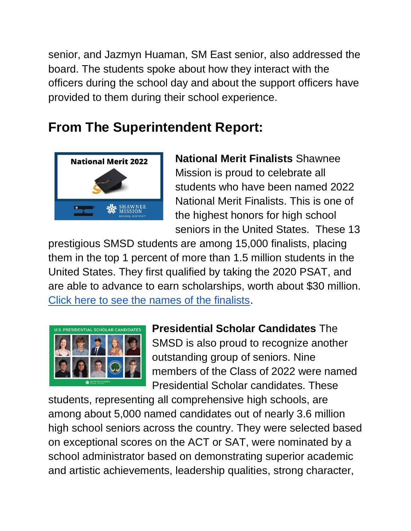senior, and Jazmyn Huaman, SM East senior, also addressed the board. The students spoke about how they interact with the officers during the school day and about the support officers have provided to them during their school experience.

## **From The Superintendent Report:**



**National Merit Finalists** Shawnee Mission is proud to celebrate all students who have been named 2022 National Merit Finalists. This is one of the highest honors for high school seniors in the United States. These 13

prestigious SMSD students are among 15,000 finalists, placing them in the top 1 percent of more than 1.5 million students in the United States. They first qualified by taking the 2020 PSAT, and are able to advance to earn scholarships, worth about \$30 million. [Click here to see the names of the finalists.](https://www.smsd.org/about/news-archives/news-archive-details/~board/2021-2022-district-news/post/smsd-seniors-named-2022-national-merit-finalists)



**Presidential Scholar Candidates** The SMSD is also proud to recognize another outstanding group of seniors. Nine members of the Class of 2022 were named Presidential Scholar candidates. These

students, representing all comprehensive high schools, are among about 5,000 named candidates out of nearly 3.6 million high school seniors across the country. They were selected based on exceptional scores on the ACT or SAT, were nominated by a school administrator based on demonstrating superior academic and artistic achievements, leadership qualities, strong character,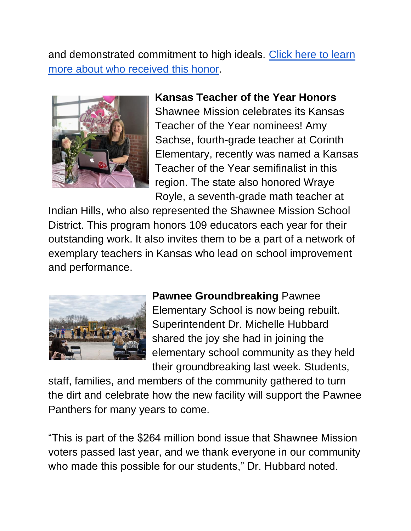and demonstrated commitment to high ideals. [Click here to learn](https://www.smsd.org/about/news-archives/news-archive-details/~board/2021-2022-district-news/post/us-presidential-scholars-program-announces-shawnee-mission-candidates)  [more about who received this honor.](https://www.smsd.org/about/news-archives/news-archive-details/~board/2021-2022-district-news/post/us-presidential-scholars-program-announces-shawnee-mission-candidates)



**Kansas Teacher of the Year Honors**  Shawnee Mission celebrates its Kansas Teacher of the Year nominees! Amy Sachse, fourth-grade teacher at Corinth Elementary, recently was named a Kansas Teacher of the Year semifinalist in this region. The state also honored Wraye Royle, a seventh-grade math teacher at

Indian Hills, who also represented the Shawnee Mission School District. This program honors 109 educators each year for their outstanding work. It also invites them to be a part of a network of exemplary teachers in Kansas who lead on school improvement and performance.



**Pawnee Groundbreaking** Pawnee Elementary School is now being rebuilt. Superintendent Dr. Michelle Hubbard shared the joy she had in joining the elementary school community as they held their groundbreaking last week. Students,

staff, families, and members of the community gathered to turn the dirt and celebrate how the new facility will support the Pawnee Panthers for many years to come.

"This is part of the \$264 million bond issue that Shawnee Mission voters passed last year, and we thank everyone in our community who made this possible for our students," Dr. Hubbard noted.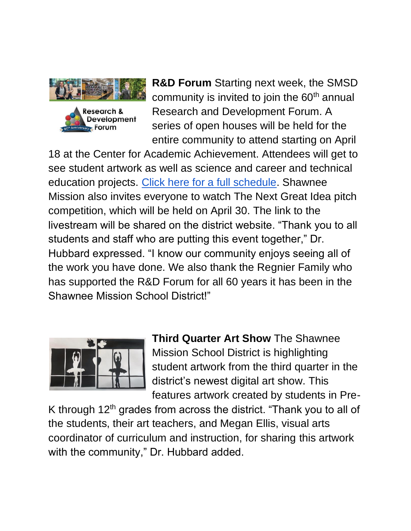

**R&D Forum** Starting next week, the SMSD community is invited to join the 60<sup>th</sup> annual Research and Development Forum. A series of open houses will be held for the entire community to attend starting on April

18 at the Center for Academic Achievement. Attendees will get to see student artwork as well as science and career and technical education projects. [Click here for a full schedule.](https://www.smsd.org/academics/rd-forum) Shawnee Mission also invites everyone to watch The Next Great Idea pitch competition, which will be held on April 30. The link to the livestream will be shared on the district website. "Thank you to all students and staff who are putting this event together," Dr. Hubbard expressed. "I know our community enjoys seeing all of the work you have done. We also thank the Regnier Family who has supported the R&D Forum for all 60 years it has been in the Shawnee Mission School District!"



**Third Quarter Art Show** The Shawnee Mission School District is highlighting student artwork from the third quarter in the district's newest digital art show. This features artwork created by students in Pre-

K through  $12<sup>th</sup>$  grades from across the district. "Thank you to all of the students, their art teachers, and Megan Ellis, visual arts coordinator of curriculum and instruction, for sharing this artwork with the community," Dr. Hubbard added.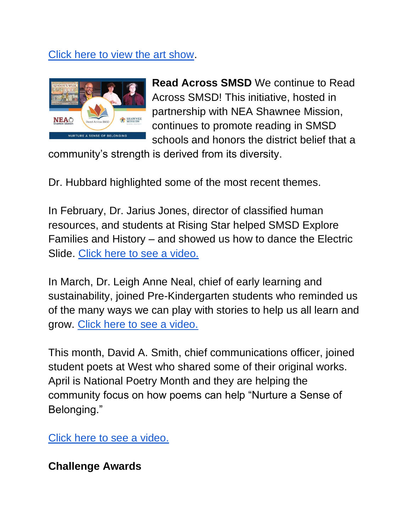## [Click here to view the art show.](https://youtu.be/HzIjSGBe8gA)



**Read Across SMSD** We continue to Read Across SMSD! This initiative, hosted in partnership with NEA Shawnee Mission, continues to promote reading in SMSD schools and honors the district belief that a

community's strength is derived from its diversity.

Dr. Hubbard highlighted some of the most recent themes.

In February, Dr. Jarius Jones, director of classified human resources, and students at Rising Star helped SMSD Explore Families and History – and showed us how to dance the Electric Slide. [Click here to see a video.](https://youtu.be/hBObpICuIeg)

In March, Dr. Leigh Anne Neal, chief of early learning and sustainability, joined Pre-Kindergarten students who reminded us of the many ways we can play with stories to help us all learn and grow. [Click here to see a video.](https://youtu.be/qqSXwXo_71U) 

This month, David A. Smith, chief communications officer, joined student poets at West who shared some of their original works. April is National Poetry Month and they are helping the community focus on how poems can help "Nurture a Sense of Belonging."

[Click here to see a video.](https://youtu.be/OLvKtQsAnDw) 

**Challenge Awards**